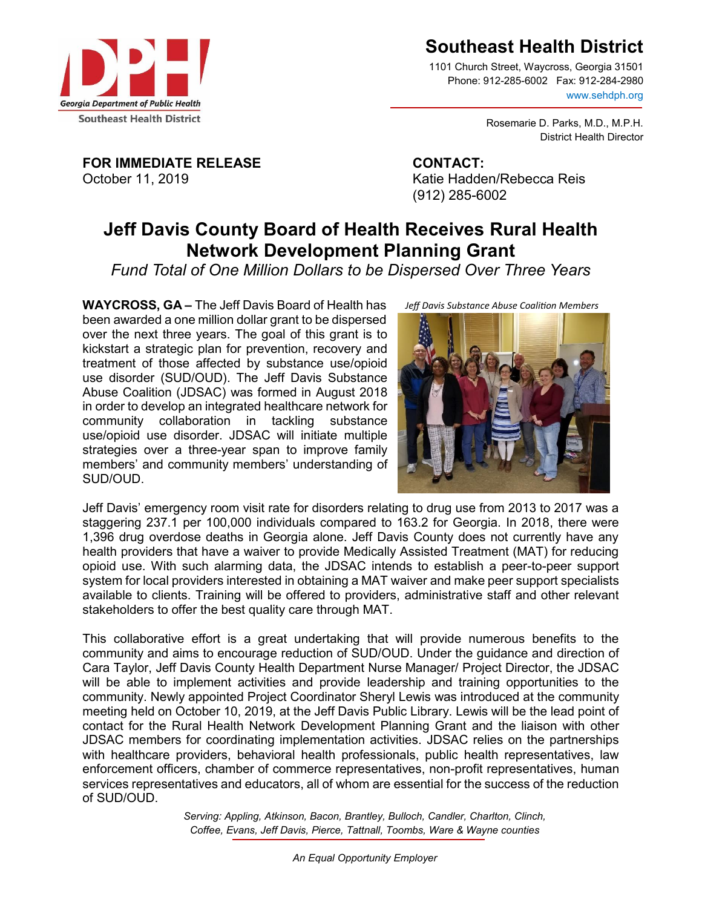

1101 Church Street, Waycross, Georgia 31501 Phone: 912-285-6002 Fax: 912-284-2980 www.sehdph.org

> Rosemarie D. Parks, M.D., M.P.H. District Health Director

**FOR IMMEDIATE RELEASE CONTACT:** October 11, 2019 **Katie Hadden/Rebecca Reis** 

(912) 285-6002

## **Jeff Davis County Board of Health Receives Rural Health Network Development Planning Grant**

*Fund Total of One Million Dollars to be Dispersed Over Three Years*

**WAYCROSS, GA –** The Jeff Davis Board of Health has been awarded a one million dollar grant to be dispersed over the next three years. The goal of this grant is to kickstart a strategic plan for prevention, recovery and treatment of those affected by substance use/opioid use disorder (SUD/OUD). The Jeff Davis Substance Abuse Coalition (JDSAC) was formed in August 2018 in order to develop an integrated healthcare network for community collaboration in tackling substance use/opioid use disorder. JDSAC will initiate multiple strategies over a three-year span to improve family members' and community members' understanding of SUD/OUD.

*Jeff Davis Substance Abuse Coalition Members*



Jeff Davis' emergency room visit rate for disorders relating to drug use from 2013 to 2017 was a staggering 237.1 per 100,000 individuals compared to 163.2 for Georgia. In 2018, there were 1,396 drug overdose deaths in Georgia alone. Jeff Davis County does not currently have any health providers that have a waiver to provide Medically Assisted Treatment (MAT) for reducing opioid use. With such alarming data, the JDSAC intends to establish a peer-to-peer support system for local providers interested in obtaining a MAT waiver and make peer support specialists available to clients. Training will be offered to providers, administrative staff and other relevant stakeholders to offer the best quality care through MAT.

This collaborative effort is a great undertaking that will provide numerous benefits to the community and aims to encourage reduction of SUD/OUD. Under the guidance and direction of Cara Taylor, Jeff Davis County Health Department Nurse Manager/ Project Director, the JDSAC will be able to implement activities and provide leadership and training opportunities to the community. Newly appointed Project Coordinator Sheryl Lewis was introduced at the community meeting held on October 10, 2019, at the Jeff Davis Public Library. Lewis will be the lead point of contact for the Rural Health Network Development Planning Grant and the liaison with other JDSAC members for coordinating implementation activities. JDSAC relies on the partnerships with healthcare providers, behavioral health professionals, public health representatives, law enforcement officers, chamber of commerce representatives, non-profit representatives, human services representatives and educators, all of whom are essential for the success of the reduction of SUD/OUD.

> *Serving: Appling, Atkinson, Bacon, Brantley, Bulloch, Candler, Charlton, Clinch, Coffee, Evans, Jeff Davis, Pierce, Tattnall, Toombs, Ware & Wayne counties*